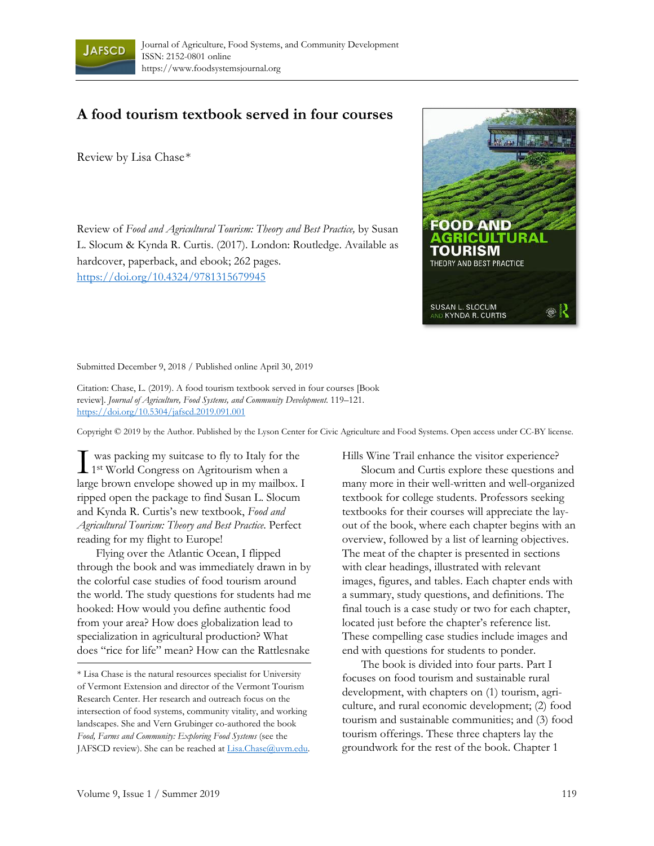

## **A food tourism textbook served in four courses**

Review by Lisa Chase\*

Review of *Food and Agricultural Tourism: Theory and Best Practice,* by Susan L. Slocum & Kynda R. Curtis. (2017). London: Routledge. Available as hardcover, paperback, and ebook; 262 pages. https://doi.org/10.4324/9781315679945



Submitted December 9, 2018 / Published online April 30, 2019

Citation: Chase, L. (2019). A food tourism textbook served in four courses [Book review]. *Journal of Agriculture, Food Systems, and Community Development.* 119–121. https://doi.org/10.5304/jafscd.2019.091.001

Copyright © 2019 by the Author. Published by the Lyson Center for Civic Agriculture and Food Systems. Open access under CC-BY license.

 was packing my suitcase to fly to Italy for the  $\prod$  was packing my suitcase to fly to Italy for the 1st World Congress on Agritourism when a large brown envelope showed up in my mailbox. I ripped open the package to find Susan L. Slocum and Kynda R. Curtis's new textbook, *Food and Agricultural Tourism: Theory and Best Practice*. Perfect reading for my flight to Europe!

 Flying over the Atlantic Ocean, I flipped through the book and was immediately drawn in by the colorful case studies of food tourism around the world. The study questions for students had me hooked: How would you define authentic food from your area? How does globalization lead to specialization in agricultural production? What does "rice for life" mean? How can the Rattlesnake

Hills Wine Trail enhance the visitor experience?

 Slocum and Curtis explore these questions and many more in their well-written and well-organized textbook for college students. Professors seeking textbooks for their courses will appreciate the layout of the book, where each chapter begins with an overview, followed by a list of learning objectives. The meat of the chapter is presented in sections with clear headings, illustrated with relevant images, figures, and tables. Each chapter ends with a summary, study questions, and definitions. The final touch is a case study or two for each chapter, located just before the chapter's reference list. These compelling case studies include images and end with questions for students to ponder.

 The book is divided into four parts. Part I focuses on food tourism and sustainable rural development, with chapters on (1) tourism, agriculture, and rural economic development; (2) food tourism and sustainable communities; and (3) food tourism offerings. These three chapters lay the groundwork for the rest of the book. Chapter 1

<sup>\*</sup> Lisa Chase is the natural resources specialist for University of Vermont Extension and director of the Vermont Tourism Research Center. Her research and outreach focus on the intersection of food systems, community vitality, and working landscapes. She and Vern Grubinger co-authored the book *Food, Farms and Community: Exploring Food Systems* (see the JAFSCD review). She can be reached at Lisa.Chase@uvm.edu.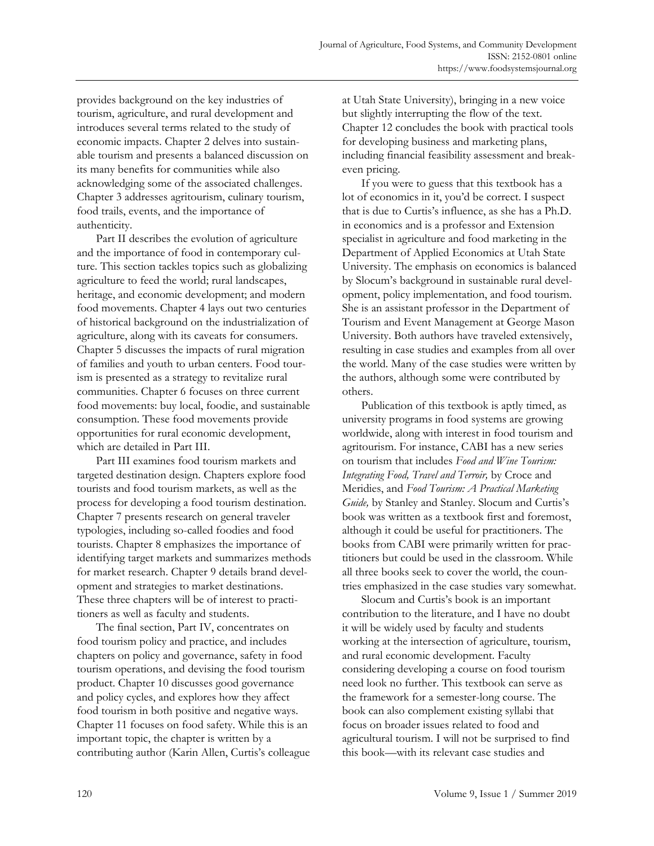provides background on the key industries of tourism, agriculture, and rural development and introduces several terms related to the study of economic impacts. Chapter 2 delves into sustainable tourism and presents a balanced discussion on its many benefits for communities while also acknowledging some of the associated challenges. Chapter 3 addresses agritourism, culinary tourism, food trails, events, and the importance of authenticity.

 Part II describes the evolution of agriculture and the importance of food in contemporary culture. This section tackles topics such as globalizing agriculture to feed the world; rural landscapes, heritage, and economic development; and modern food movements. Chapter 4 lays out two centuries of historical background on the industrialization of agriculture, along with its caveats for consumers. Chapter 5 discusses the impacts of rural migration of families and youth to urban centers. Food tourism is presented as a strategy to revitalize rural communities. Chapter 6 focuses on three current food movements: buy local, foodie, and sustainable consumption. These food movements provide opportunities for rural economic development, which are detailed in Part III.

 Part III examines food tourism markets and targeted destination design. Chapters explore food tourists and food tourism markets, as well as the process for developing a food tourism destination. Chapter 7 presents research on general traveler typologies, including so-called foodies and food tourists. Chapter 8 emphasizes the importance of identifying target markets and summarizes methods for market research. Chapter 9 details brand development and strategies to market destinations. These three chapters will be of interest to practitioners as well as faculty and students.

 The final section, Part IV, concentrates on food tourism policy and practice, and includes chapters on policy and governance, safety in food tourism operations, and devising the food tourism product. Chapter 10 discusses good governance and policy cycles, and explores how they affect food tourism in both positive and negative ways. Chapter 11 focuses on food safety. While this is an important topic, the chapter is written by a contributing author (Karin Allen, Curtis's colleague at Utah State University), bringing in a new voice but slightly interrupting the flow of the text. Chapter 12 concludes the book with practical tools for developing business and marketing plans, including financial feasibility assessment and breakeven pricing.

 If you were to guess that this textbook has a lot of economics in it, you'd be correct. I suspect that is due to Curtis's influence, as she has a Ph.D. in economics and is a professor and Extension specialist in agriculture and food marketing in the Department of Applied Economics at Utah State University. The emphasis on economics is balanced by Slocum's background in sustainable rural development, policy implementation, and food tourism. She is an assistant professor in the Department of Tourism and Event Management at George Mason University. Both authors have traveled extensively, resulting in case studies and examples from all over the world. Many of the case studies were written by the authors, although some were contributed by others.

 Publication of this textbook is aptly timed, as university programs in food systems are growing worldwide, along with interest in food tourism and agritourism. For instance, CABI has a new series on tourism that includes *Food and Wine Tourism: Integrating Food, Travel and Terroir,* by Croce and Meridies, and *Food Tourism: A Practical Marketing Guide,* by Stanley and Stanley. Slocum and Curtis's book was written as a textbook first and foremost, although it could be useful for practitioners. The books from CABI were primarily written for practitioners but could be used in the classroom. While all three books seek to cover the world, the countries emphasized in the case studies vary somewhat.

 Slocum and Curtis's book is an important contribution to the literature, and I have no doubt it will be widely used by faculty and students working at the intersection of agriculture, tourism, and rural economic development. Faculty considering developing a course on food tourism need look no further. This textbook can serve as the framework for a semester-long course. The book can also complement existing syllabi that focus on broader issues related to food and agricultural tourism. I will not be surprised to find this book—with its relevant case studies and